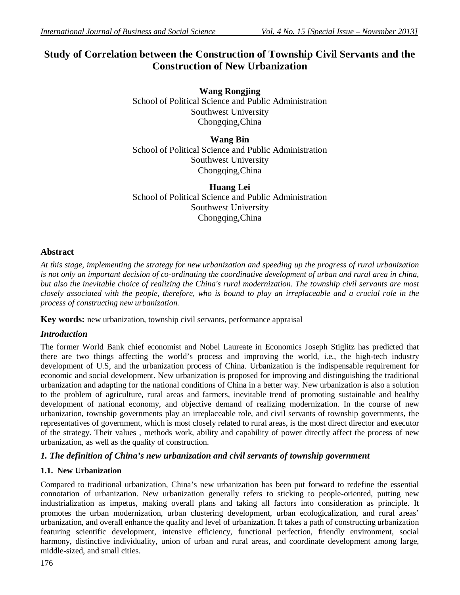# **Study of Correlation between the Construction of Township Civil Servants and the Construction of New Urbanization**

**Wang Rongjing** School of Political Science and Public Administration Southwest University Chongqing,China

**Wang Bin** School of Political Science and Public Administration Southwest University Chongqing,China

**Huang Lei** School of Political Science and Public Administration Southwest University Chongqing,China

# **Abstract**

*At this stage, implementing the strategy for new urbanization and speeding up the progress of rural urbanization is not only an important decision of co-ordinating the coordinative development of urban and rural area in china, but also the inevitable choice of realizing the China's rural modernization. The township civil servants are most closely associated with the people, therefore, who is bound to play an irreplaceable and a crucial role in the process of constructing new urbanization.*

**Key words:** new urbanization, township civil servants, performance appraisal

# *Introduction*

The former World Bank chief economist and Nobel Laureate in Economics Joseph Stiglitz has predicted that there are two things affecting the world's process and improving the world, i.e., the high-tech industry development of U.S, and the urbanization process of China. Urbanization is the indispensable requirement for economic and social development. New urbanization is proposed for improving and distinguishing the traditional urbanization and adapting for the national conditions of China in a better way. New urbanization is also a solution to the problem of agriculture, rural areas and farmers, inevitable trend of promoting sustainable and healthy development of national economy, and objective demand of realizing modernization. In the course of new urbanization, township governments play an irreplaceable role, and civil servants of township governments, the representatives of government, which is most closely related to rural areas, is the most direct director and executor of the strategy. Their values , methods work, ability and capability of power directly affect the process of new urbanization, as well as the quality of construction.

# *1. The definition of China's new urbanization and civil servants of township government*

# **1.1. New Urbanization**

Compared to traditional urbanization, China's new urbanization has been put forward to redefine the essential connotation of urbanization. New urbanization generally refers to sticking to people-oriented, putting new industrialization as impetus, making overall plans and taking all factors into consideration as principle. It promotes the urban modernization, urban clustering development, urban ecologicalization, and rural areas' urbanization, and overall enhance the quality and level of urbanization. It takes a path of constructing urbanization featuring scientific development, intensive efficiency, functional perfection, friendly environment, social harmony, distinctive individuality, union of urban and rural areas, and coordinate development among large, middle-sized, and small cities.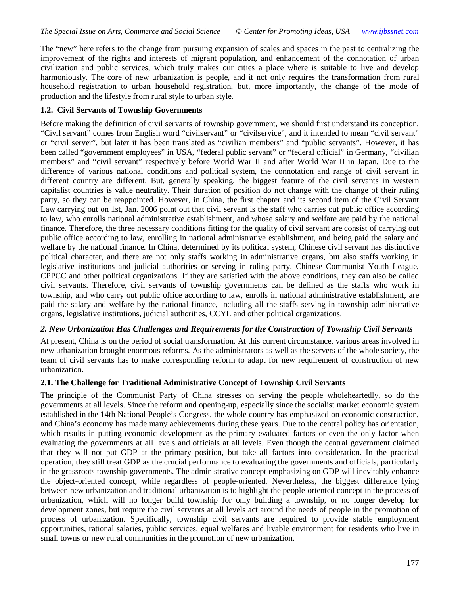The "new" here refers to the change from pursuing expansion of scales and spaces in the past to centralizing the improvement of the rights and interests of migrant population, and enhancement of the connotation of urban civilization and public services, which truly makes our cities a place where is suitable to live and develop harmoniously. The core of new urbanization is people, and it not only requires the transformation from rural household registration to urban household registration, but, more importantly, the change of the mode of production and the lifestyle from rural style to urban style.

#### **1.2. Civil Servants of Township Governments**

Before making the definition of civil servants of township government, we should first understand its conception. "Civil servant" comes from English word "civilservant" or "civilservice", and it intended to mean "civil servant" or "civil server", but later it has been translated as "civilian members" and "public servants". However, it has been called "government employees" in USA, "federal public servant" or "federal official" in Germany, "civilian members" and "civil servant" respectively before World War II and after World War II in Japan. Due to the difference of various national conditions and political system, the connotation and range of civil servant in different country are different. But, generally speaking, the biggest feature of the civil servants in western capitalist countries is value neutrality. Their duration of position do not change with the change of their ruling party, so they can be reappointed. However, in China, the first chapter and its second item of the Civil Servant Law carrying out on 1st, Jan. 2006 point out that civil servant is the staff who carries out public office according to law, who enrolls national administrative establishment, and whose salary and welfare are paid by the national finance. Therefore, the three necessary conditions fitting for the quality of civil servant are consist of carrying out public office according to law, enrolling in national administrative establishment, and being paid the salary and welfare by the national finance. In China, determined by its political system, Chinese civil servant has distinctive political character, and there are not only staffs working in administrative organs, but also staffs working in legislative institutions and judicial authorities or serving in ruling party, Chinese Communist Youth League, CPPCC and other political organizations. If they are satisfied with the above conditions, they can also be called civil servants. Therefore, civil servants of township governments can be defined as the staffs who work in township, and who carry out public office according to law, enrolls in national administrative establishment, are paid the salary and welfare by the national finance, including all the staffs serving in township administrative organs, legislative institutions, judicial authorities, CCYL and other political organizations.

### *2. New Urbanization Has Challenges and Requirements for the Construction of Township Civil Servants*

At present, China is on the period of social transformation. At this current circumstance, various areas involved in new urbanization brought enormous reforms. As the administrators as well as the servers of the whole society, the team of civil servants has to make corresponding reform to adapt for new requirement of construction of new urbanization.

#### **2.1. The Challenge for Traditional Administrative Concept of Township Civil Servants**

The principle of the Communist Party of China stresses on serving the people wholeheartedly, so do the governments at all levels. Since the reform and opening-up, especially since the socialist market economic system established in the 14th National People's Congress, the whole country has emphasized on economic construction, and China's economy has made many achievements during these years. Due to the central policy has orientation, which results in putting economic development as the primary evaluated factors or even the only factor when evaluating the governments at all levels and officials at all levels. Even though the central government claimed that they will not put GDP at the primary position, but take all factors into consideration. In the practical operation, they still treat GDP as the crucial performance to evaluating the governments and officials, particularly in the grassroots township governments. The administrative concept emphasizing on GDP will inevitably enhance the object-oriented concept, while regardless of people-oriented. Nevertheless, the biggest difference lying between new urbanization and traditional urbanization is to highlight the people-oriented concept in the process of urbanization, which will no longer build township for only building a township, or no longer develop for development zones, but require the civil servants at all levels act around the needs of people in the promotion of process of urbanization. Specifically, township civil servants are required to provide stable employment opportunities, rational salaries, public services, equal welfares and livable environment for residents who live in small towns or new rural communities in the promotion of new urbanization.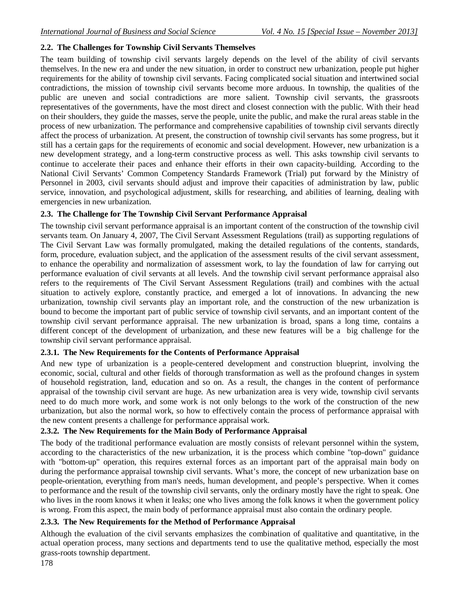# **2.2. The Challenges for Township Civil Servants Themselves**

The team building of township civil servants largely depends on the level of the ability of civil servants themselves. In the new era and under the new situation, in order to construct new urbanization, people put higher requirements for the ability of township civil servants. Facing complicated social situation and intertwined social contradictions, the mission of township civil servants become more arduous. In township, the qualities of the public are uneven and social contradictions are more salient. Township civil servants, the grassroots representatives of the governments, have the most direct and closest connection with the public. With their head on their shoulders, they guide the masses, serve the people, unite the public, and make the rural areas stable in the process of new urbanization. The performance and comprehensive capabilities of township civil servants directly affect the process of urbanization. At present, the construction of township civil servants has some progress, but it still has a certain gaps for the requirements of economic and social development. However, new urbanization is a new development strategy, and a long-term constructive process as well. This asks township civil servants to continue to accelerate their paces and enhance their efforts in their own capacity-building. According to the National Civil Servants' Common Competency Standards Framework (Trial) put forward by the Ministry of Personnel in 2003, civil servants should adjust and improve their capacities of administration by law, public service, innovation, and psychological adjustment, skills for researching, and abilities of learning, dealing with emergencies in new urbanization.

### **2.3. The Challenge for The Township Civil Servant Performance Appraisal**

The township civil servant performance appraisal is an important content of the construction of the township civil servants team. On January 4, 2007, The Civil Servant Assessment Regulations (trail) as supporting regulations of The Civil Servant Law was formally promulgated, making the detailed regulations of the contents, standards, form, procedure, evaluation subject, and the application of the assessment results of the civil servant assessment, to enhance the operability and normalization of assessment work, to lay the foundation of law for carrying out performance evaluation of civil servants at all levels. And the township civil servant performance appraisal also refers to the requirements of The Civil Servant Assessment Regulations (trail) and combines with the actual situation to actively explore, constantly practice, and emerged a lot of innovations. In advancing the new urbanization, township civil servants play an important role, and the construction of the new urbanization is bound to become the important part of public service of township civil servants, and an important content of the township civil servant performance appraisal. The new urbanization is broad, spans a long time, contains a different concept of the development of urbanization, and these new features will be a big challenge for the township civil servant performance appraisal.

### **2.3.1. The New Requirements for the Contents of Performance Appraisal**

And new type of urbanization is a people-centered development and construction blueprint, involving the economic, social, cultural and other fields of thorough transformation as well as the profound changes in system of household registration, land, education and so on. As a result, the changes in the content of performance appraisal of the township civil servant are huge. As new urbanization area is very wide, township civil servants need to do much more work, and some work is not only belongs to the work of the construction of the new urbanization, but also the normal work, so how to effectively contain the process of performance appraisal with the new content presents a challenge for performance appraisal work.

### **2.3.2. The New Requirements for the Main Body of Performance Appraisal**

The body of the traditional performance evaluation are mostly consists of relevant personnel within the system, according to the characteristics of the new urbanization, it is the process which combine "top-down" guidance with "bottom-up" operation, this requires external forces as an important part of the appraisal main body on during the performance appraisal township civil servants. What's more, the concept of new urbanization base on people-orientation, everything from man's needs, human development, and people's perspective. When it comes to performance and the result of the township civil servants, only the ordinary mostly have the right to speak. One who lives in the room knows it when it leaks; one who lives among the folk knows it when the government policy is wrong. From this aspect, the main body of performance appraisal must also contain the ordinary people.

# **2.3.3. The New Requirements for the Method of Performance Appraisal**

Although the evaluation of the civil servants emphasizes the combination of qualitative and quantitative, in the actual operation process, many sections and departments tend to use the qualitative method, especially the most grass-roots township department.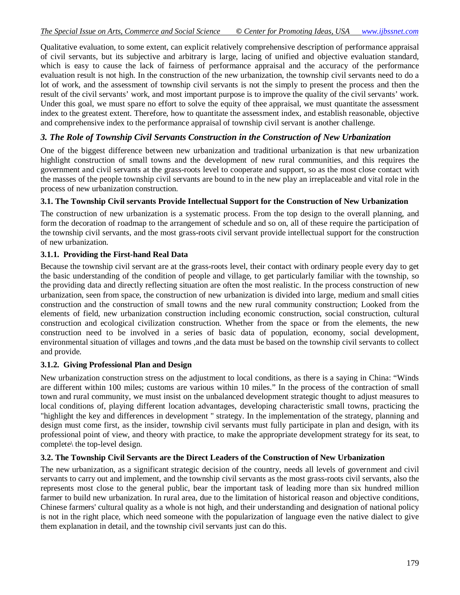Qualitative evaluation, to some extent, can explicit relatively comprehensive description of performance appraisal of civil servants, but its subjective and arbitrary is large, lacing of unified and objective evaluation standard, which is easy to cause the lack of fairness of performance appraisal and the accuracy of the performance evaluation result is not high. In the construction of the new urbanization, the township civil servants need to do a lot of work, and the assessment of township civil servants is not the simply to present the process and then the result of the civil servants' work, and most important purpose is to improve the quality of the civil servants' work. Under this goal, we must spare no effort to solve the equity of thee appraisal, we must quantitate the assessment index to the greatest extent. Therefore, how to quantitate the assessment index, and establish reasonable, objective and comprehensive index to the performance appraisal of township civil servant is another challenge.

### *3. The Role of Township Civil Servants Construction in the Construction of New Urbanization*

One of the biggest difference between new urbanization and traditional urbanization is that new urbanization highlight construction of small towns and the development of new rural communities, and this requires the government and civil servants at the grass-roots level to cooperate and support, so as the most close contact with the masses of the people township civil servants are bound to in the new play an irreplaceable and vital role in the process of new urbanization construction.

#### **3.1. The Township Civil servants Provide Intellectual Support for the Construction of New Urbanization**

The construction of new urbanization is a systematic process. From the top design to the overall planning, and form the decoration of roadmap to the arrangement of schedule and so on, all of these require the participation of the township civil servants, and the most grass-roots civil servant provide intellectual support for the construction of new urbanization.

### **3.1.1. Providing the First-hand Real Data**

Because the township civil servant are at the grass-roots level, their contact with ordinary people every day to get the basic understanding of the condition of people and village, to get particularly familiar with the township, so the providing data and directly reflecting situation are often the most realistic. In the process construction of new urbanization, seen from space, the construction of new urbanization is divided into large, medium and small cities construction and the construction of small towns and the new rural community construction; Looked from the elements of field, new urbanization construction including economic construction, social construction, cultural construction and ecological civilization construction. Whether from the space or from the elements, the new construction need to be involved in a series of basic data of population, economy, social development, environmental situation of villages and towns ,and the data must be based on the township civil servants to collect and provide.

#### **3.1.2. Giving Professional Plan and Design**

New urbanization construction stress on the adjustment to local conditions, as there is a saying in China: "Winds are different within 100 miles; customs are various within 10 miles." In the process of the contraction of small town and rural community, we must insist on the unbalanced development strategic thought to adjust measures to local conditions of, playing different location advantages, developing characteristic small towns, practicing the "highlight the key and differences in development " strategy. In the implementation of the strategy, planning and design must come first, as the insider, township civil servants must fully participate in plan and design, with its professional point of view, and theory with practice, to make the appropriate development strategy for its seat, to complete\ the top-level design.

#### **3.2. The Township Civil Servants are the Direct Leaders of the Construction of New Urbanization**

The new urbanization, as a significant strategic decision of the country, needs all levels of government and civil servants to carry out and implement, and the township civil servants as the most grass-roots civil servants, also the represents most close to the general public, bear the important task of leading more than six hundred million farmer to build new urbanization. In rural area, due to the limitation of historical reason and objective conditions, Chinese farmers' cultural quality as a whole is not high, and their understanding and designation of national policy is not in the right place, which need someone with the popularization of language even the native dialect to give them explanation in detail, and the township civil servants just can do this.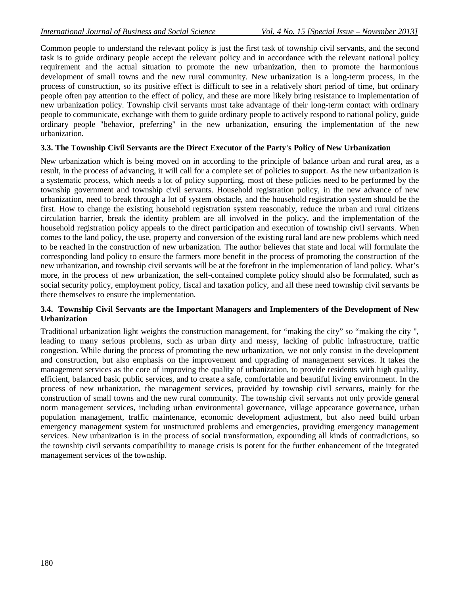Common people to understand the relevant policy is just the first task of township civil servants, and the second task is to guide ordinary people accept the relevant policy and in accordance with the relevant national policy requirement and the actual situation to promote the new urbanization, then to promote the harmonious development of small towns and the new rural community. New urbanization is a long-term process, in the process of construction, so its positive effect is difficult to see in a relatively short period of time, but ordinary people often pay attention to the effect of policy, and these are more likely bring resistance to implementation of new urbanization policy. Township civil servants must take advantage of their long-term contact with ordinary people to communicate, exchange with them to guide ordinary people to actively respond to national policy, guide ordinary people "behavior, preferring" in the new urbanization, ensuring the implementation of the new urbanization.

### **3.3. The Township Civil Servants are the Direct Executor of the Party's Policy of New Urbanization**

New urbanization which is being moved on in according to the principle of balance urban and rural area, as a result, in the process of advancing, it will call for a complete set of policies to support. As the new urbanization is a systematic process, which needs a lot of policy supporting, most of these policies need to be performed by the township government and township civil servants. Household registration policy, in the new advance of new urbanization, need to break through a lot of system obstacle, and the household registration system should be the first. How to change the existing household registration system reasonably, reduce the urban and rural citizens circulation barrier, break the identity problem are all involved in the policy, and the implementation of the household registration policy appeals to the direct participation and execution of township civil servants. When comes to the land policy, the use, property and conversion of the existing rural land are new problems which need to be reached in the construction of new urbanization. The author believes that state and local will formulate the corresponding land policy to ensure the farmers more benefit in the process of promoting the construction of the new urbanization, and township civil servants will be at the forefront in the implementation of land policy. What's more, in the process of new urbanization, the self-contained complete policy should also be formulated, such as social security policy, employment policy, fiscal and taxation policy, and all these need township civil servants be there themselves to ensure the implementation.

#### **3.4. Township Civil Servants are the Important Managers and Implementers of the Development of New Urbanization**

Traditional urbanization light weights the construction management, for "making the city" so "making the city ", leading to many serious problems, such as urban dirty and messy, lacking of public infrastructure, traffic congestion. While during the process of promoting the new urbanization, we not only consist in the development and construction, but also emphasis on the improvement and upgrading of management services. It takes the management services as the core of improving the quality of urbanization, to provide residents with high quality, efficient, balanced basic public services, and to create a safe, comfortable and beautiful living environment. In the process of new urbanization, the management services, provided by township civil servants, mainly for the construction of small towns and the new rural community. The township civil servants not only provide general norm management services, including urban environmental governance, village appearance governance, urban population management, traffic maintenance, economic development adjustment, but also need build urban emergency management system for unstructured problems and emergencies, providing emergency management services. New urbanization is in the process of social transformation, expounding all kinds of contradictions, so the township civil servants compatibility to manage crisis is potent for the further enhancement of the integrated management services of the township.